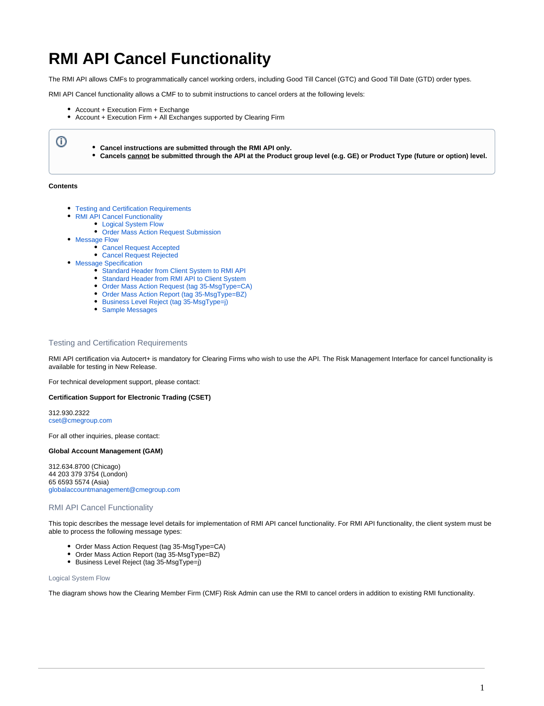# <span id="page-0-3"></span>**RMI API Cancel Functionality**

The RMI API allows CMFs to programmatically cancel working orders, including Good Till Cancel (GTC) and Good Till Date (GTD) order types.

RMI API Cancel functionality allows a CMF to to submit instructions to cancel orders at the following levels:

- Account + Execution Firm + Exchange
- Account + Execution Firm + All Exchanges supported by Clearing Firm

**Cancel instructions are submitted through the RMI API only. Cancels cannot be submitted through the API at the Product group level (e.g. GE) or Product Type (future or option) level.**

## **Contents**

 $\odot$ 

- [Testing and Certification Requirements](#page-0-0)  $\bullet$ 
	- [RMI API Cancel Functionality](#page-0-1)
		- [Logical System Flow](#page-0-2)
		- [Order Mass Action Request Submission](#page-1-0)
- [Message Flow](#page-1-1)
	- [Cancel Request Accepted](#page-2-0)
	- [Cancel Request Rejected](#page-2-1)
- [Message Specification](#page-2-2)
	- [Standard Header from Client System to RMI API](#page-2-3)
	- [Standard Header from RMI API to Client System](#page-2-4)
	- [Order Mass Action Request \(tag 35-MsgType=CA\)](#page-3-0)
	- [Order Mass Action Report \(tag 35-MsgType=BZ\)](#page-3-1)
	- [Business Level Reject \(tag 35-MsgType=j\)](#page-4-0)
	- [Sample Messages](#page-5-0)

# <span id="page-0-0"></span>Testing and Certification Requirements

RMI API certification via Autocert+ is mandatory for Clearing Firms who wish to use the API. The Risk Management Interface for cancel functionality is available for testing in New Release.

For technical development support, please contact:

## **Certification Support for Electronic Trading (CSET)**

312.930.2322 [cset@cmegroup.com](mailto:cset@cmegroup.com)

For all other inquiries, please contact:

# **Global Account Management (GAM)**

312.634.8700 (Chicago) 44 203 379 3754 (London) 65 6593 5574 (Asia) [globalaccountmanagement@cmegroup.com](mailto:globalaccountmanagement@cmegroup.com)

## <span id="page-0-1"></span>RMI API Cancel Functionality

This topic describes the message level details for implementation of RMI API cancel functionality. For RMI API functionality, the client system must be able to process the following message types:

- Order Mass Action Request (tag 35-MsgType=CA)
- Order Mass Action Report (tag 35-MsgType=BZ)
- Business Level Reject (tag 35-MsgType=j)

## <span id="page-0-2"></span>Logical System Flow

The diagram shows how the Clearing Member Firm (CMF) Risk Admin can use the RMI to cancel orders in addition to existing RMI functionality.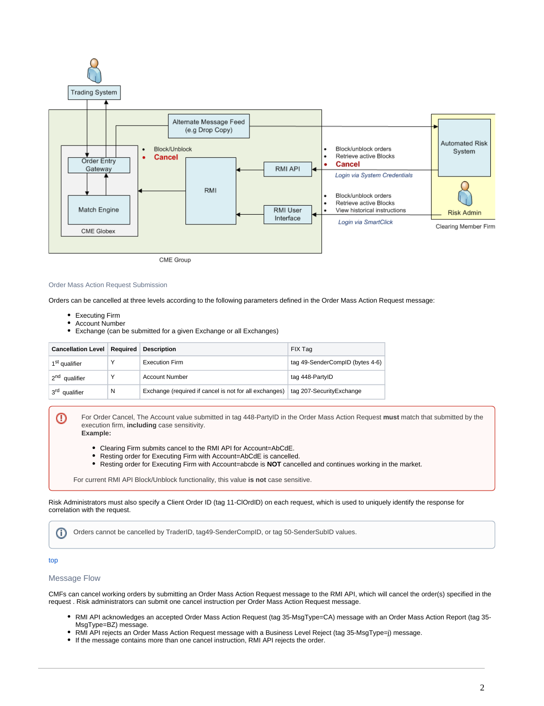

CME Group

#### <span id="page-1-0"></span>Order Mass Action Request Submission

Orders can be cancelled at three levels according to the following parameters defined in the Order Mass Action Request message:

- Executing Firm
- Account Number
- Exchange (can be submitted for a given Exchange or all Exchanges)

| <b>Cancellation Level   Required  </b> |   | <b>Description</b>                                     | FIX Tag                         |
|----------------------------------------|---|--------------------------------------------------------|---------------------------------|
| 1 <sup>st</sup> qualifier              | ν | <b>Execution Firm</b>                                  | tag 49-SenderCompID (bytes 4-6) |
| 2 <sup>nd</sup> qualifier              | ٧ | <b>Account Number</b>                                  | tag 448-PartyID                 |
| 3 <sup>rd</sup> qualifier              | N | Exchange (required if cancel is not for all exchanges) | tag 207-Security Exchange       |

For Order Cancel, The Account value submitted in tag 448-PartyID in the Order Mass Action Request **must** match that submitted by the execution firm, **including** case sensitivity. **Example:**

- Clearing Firm submits cancel to the RMI API for Account=AbCdE.
- Resting order for Executing Firm with Account=AbCdE is cancelled.
- Resting order for Executing Firm with Account=abcde is **NOT** cancelled and continues working in the market.

For current RMI API Block/Unblock functionality, this value **is not** case sensitive.

Risk Administrators must also specify a Client Order ID (tag 11-ClOrdID) on each request, which is used to uniquely identify the response for correlation with the request.

Orders cannot be cancelled by TraderID, tag49-SenderCompID, or tag 50-SenderSubID values.O)

#### [top](#page-0-3)

−

# <span id="page-1-1"></span>Message Flow

CMFs can cancel working orders by submitting an Order Mass Action Request message to the RMI API, which will cancel the order(s) specified in the request . Risk administrators can submit one cancel instruction per Order Mass Action Request message.

- RMI API acknowledges an accepted Order Mass Action Request (tag 35-MsgType=CA) message with an Order Mass Action Report (tag 35- MsgType=BZ) message.
- RMI API rejects an Order Mass Action Request message with a Business Level Reject (tag 35-MsgType=j) message.
- If the message contains more than one cancel instruction, RMI API rejects the order.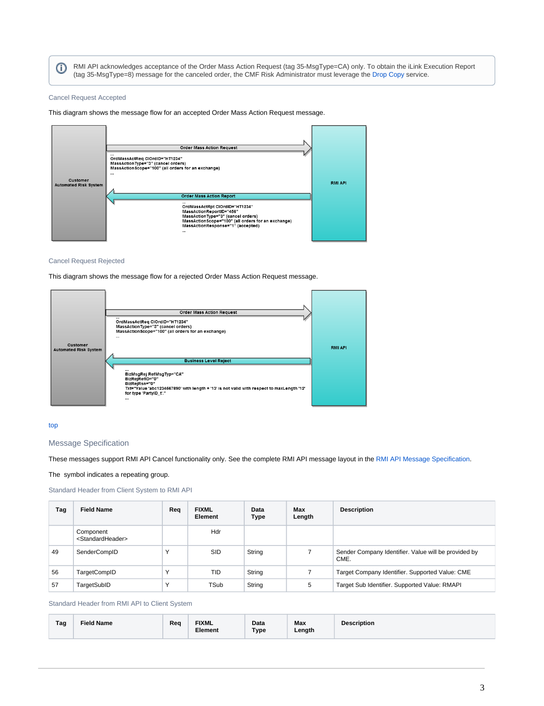RMI API acknowledges acceptance of the Order Mass Action Request (tag 35-MsgType=CA) only. To obtain the iLink Execution Report ന (tag 35-MsgType=8) message for the canceled order, the CMF Risk Administrator must leverage the [Drop Copy](https://www.cmegroup.com/confluence/display/EPICSANDBOX/Drop+Copy+Service+for+iLink) service.

# <span id="page-2-0"></span>Cancel Request Accepted

This diagram shows the message flow for an accepted Order Mass Action Request message.



### <span id="page-2-1"></span>Cancel Request Rejected

This diagram shows the message flow for a rejected Order Mass Action Request message.



## [top](#page-0-3)

# <span id="page-2-2"></span>Message Specification

These messages support RMI API Cancel functionality only. See the complete RMI API message layout in the [RMI API Message Specification](https://www.cmegroup.com/confluence/display/EPICSANDBOX/Risk+Management+Interface+Message+Specification).

The symbol indicates a repeating group.

# <span id="page-2-3"></span>Standard Header from Client System to RMI API

| Tag | <b>Field Name</b>                              | Rea | <b>FIXML</b><br>Element | Data<br>Type | Max<br>Length | <b>Description</b>                                           |
|-----|------------------------------------------------|-----|-------------------------|--------------|---------------|--------------------------------------------------------------|
|     | Component<br><standardheader></standardheader> |     | Hdr                     |              |               |                                                              |
| 49  | SenderCompID                                   |     | <b>SID</b>              | String       |               | Sender Company Identifier. Value will be provided by<br>CME. |
| 56  | TargetCompID                                   |     | TID                     | String       |               | Target Company Identifier. Supported Value: CME              |
| 57  | TargetSubID                                    |     | TSub                    | String       | 5             | Target Sub Identifier. Supported Value: RMAPI                |

<span id="page-2-4"></span>Standard Header from RMI API to Client System

| Tag | Field Name | Req | <b>FIXML</b><br>Element | Data<br>Type | Max<br>Length | <b>Description</b> |
|-----|------------|-----|-------------------------|--------------|---------------|--------------------|
|-----|------------|-----|-------------------------|--------------|---------------|--------------------|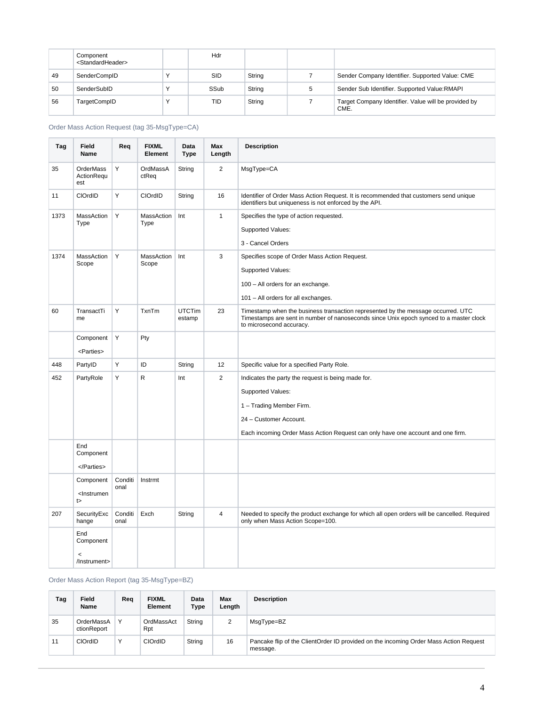|    | Component<br><standardheader></standardheader> | Hdr        |        |   |                                                              |
|----|------------------------------------------------|------------|--------|---|--------------------------------------------------------------|
| 49 | SenderCompID                                   | <b>SID</b> | String |   | Sender Company Identifier. Supported Value: CME              |
| 50 | SenderSubID                                    | SSub       | String | 5 | Sender Sub Identifier. Supported Value: RMAPI                |
| 56 | TargetCompID                                   | TID        | String |   | Target Company Identifier. Value will be provided by<br>CME. |

<span id="page-3-0"></span>Order Mass Action Request (tag 35-MsgType=CA)

| Tag  | Field<br><b>Name</b>                            | Req             | <b>FIXML</b><br>Element    | Data<br><b>Type</b>     | Max<br>Length  | <b>Description</b>                                                                                                                                                                                                      |
|------|-------------------------------------------------|-----------------|----------------------------|-------------------------|----------------|-------------------------------------------------------------------------------------------------------------------------------------------------------------------------------------------------------------------------|
| 35   | OrderMass<br>ActionRequ<br>est                  | Υ               | OrdMassA<br>ctReq          | String                  | $\overline{2}$ | MsgType=CA                                                                                                                                                                                                              |
| 11   | CIOrdID                                         | Y               | CIOrdID                    | String                  | 16             | Identifier of Order Mass Action Request. It is recommended that customers send unique<br>identifiers but uniqueness is not enforced by the API.                                                                         |
| 1373 | MassAction<br>Type                              | Y               | <b>MassAction</b><br>Type  | Int                     | $\mathbf{1}$   | Specifies the type of action requested.<br><b>Supported Values:</b><br>3 - Cancel Orders                                                                                                                                |
| 1374 | MassAction<br>Scope                             | Y               | <b>MassAction</b><br>Scope | Int                     | 3              | Specifies scope of Order Mass Action Request.<br><b>Supported Values:</b><br>100 - All orders for an exchange.<br>101 - All orders for all exchanges.                                                                   |
| 60   | TransactTi<br>me                                | Y               | TxnTm                      | <b>UTCTim</b><br>estamp | 23             | Timestamp when the business transaction represented by the message occurred. UTC<br>Timestamps are sent in number of nanoseconds since Unix epoch synced to a master clock<br>to microsecond accuracy.                  |
|      | Component<br><parties></parties>                | Y               | Pty                        |                         |                |                                                                                                                                                                                                                         |
| 448  | PartyID                                         | Υ               | ID                         | String                  | 12             | Specific value for a specified Party Role.                                                                                                                                                                              |
| 452  | PartyRole                                       | Υ               | R                          | Int                     | $\overline{2}$ | Indicates the party the request is being made for.<br><b>Supported Values:</b><br>1 - Trading Member Firm.<br>24 - Customer Account.<br>Each incoming Order Mass Action Request can only have one account and one firm. |
|      | End<br>Component<br>                            |                 |                            |                         |                |                                                                                                                                                                                                                         |
|      | Component<br><lnstrumen<br>t&gt;</lnstrumen<br> | Conditi<br>onal | Instrmt                    |                         |                |                                                                                                                                                                                                                         |
| 207  | SecurityExc<br>hange                            | Conditi<br>onal | Exch                       | String                  | $\overline{4}$ | Needed to specify the product exchange for which all open orders will be cancelled. Required<br>only when Mass Action Scope=100.                                                                                        |
|      | End<br>Component<br>$\,<$<br>/Instrument>       |                 |                            |                         |                |                                                                                                                                                                                                                         |

<span id="page-3-1"></span>Order Mass Action Report (tag 35-MsgType=BZ)

| Tag | Field<br>Name             | Reg          | <b>FIXML</b><br>Element | Data<br>Type | Max<br>Length | <b>Description</b>                                                                                |
|-----|---------------------------|--------------|-------------------------|--------------|---------------|---------------------------------------------------------------------------------------------------|
| 35  | OrderMassA<br>ctionReport | $\checkmark$ | OrdMassAct<br>Rpt       | String       | 2             | MsqType=BZ                                                                                        |
| 11  | <b>CIOrdID</b>            | $\checkmark$ | CIOrdID                 | String       | 16            | Pancake flip of the ClientOrder ID provided on the incoming Order Mass Action Request<br>message. |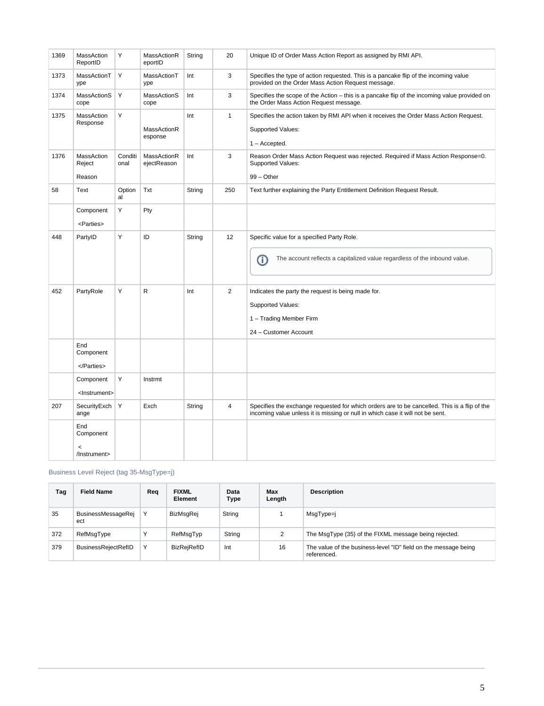| 1369 | MassAction<br>ReportID                    | Y               | MassActionR<br>eportID     | String | 20             | Unique ID of Order Mass Action Report as assigned by RMI API.                                                                                                                  |
|------|-------------------------------------------|-----------------|----------------------------|--------|----------------|--------------------------------------------------------------------------------------------------------------------------------------------------------------------------------|
| 1373 | MassActionT<br>ype                        | Y               | MassActionT<br>ype         | Int    | 3              | Specifies the type of action requested. This is a pancake flip of the incoming value<br>provided on the Order Mass Action Request message.                                     |
| 1374 | MassActionS<br>cope                       | Y               | MassActionS<br>cope        | Int    | 3              | Specifies the scope of the Action – this is a pancake flip of the incoming value provided on<br>the Order Mass Action Request message.                                         |
| 1375 | MassAction<br>Response                    | Υ               | MassActionR<br>esponse     | Int    | $\mathbf{1}$   | Specifies the action taken by RMI API when it receives the Order Mass Action Request.<br>Supported Values:<br>$1 -$ Accepted.                                                  |
| 1376 | MassAction<br>Reject<br>Reason            | Conditi<br>onal | MassActionR<br>ejectReason | Int    | 3              | Reason Order Mass Action Request was rejected. Required if Mass Action Response=0.<br>Supported Values:<br>$99 - Other$                                                        |
| 58   | Text                                      | Option<br>al    | Txt                        | String | 250            | Text further explaining the Party Entitlement Definition Request Result.                                                                                                       |
|      | Component<br><parties></parties>          | Υ               | Pty                        |        |                |                                                                                                                                                                                |
| 448  | PartyID                                   | Y               | ID                         | String | 12             | Specific value for a specified Party Role.<br>The account reflects a capitalized value regardless of the inbound value.<br>⋒                                                   |
| 452  | PartyRole                                 | Υ               | $\mathsf R$                | Int    | $\overline{2}$ | Indicates the party the request is being made for.<br>Supported Values:<br>1 - Trading Member Firm<br>24 - Customer Account                                                    |
|      | End<br>Component<br>                      |                 |                            |        |                |                                                                                                                                                                                |
|      | Component<br><lnstrument></lnstrument>    | Υ               | Instrmt                    |        |                |                                                                                                                                                                                |
| 207  | SecurityExch<br>ange                      | Y               | Exch                       | String | $\overline{4}$ | Specifies the exchange requested for which orders are to be cancelled. This is a flip of the<br>incoming value unless it is missing or null in which case it will not be sent. |
|      | End<br>Component<br>$\,<$<br>/Instrument> |                 |                            |        |                |                                                                                                                                                                                |

<span id="page-4-0"></span>Business Level Reject (tag 35-MsgType=j)

| Tag | <b>Field Name</b>          | Rea          | <b>FIXML</b><br><b>Element</b> | Data<br>Type | Max<br>Length | <b>Description</b>                                                             |
|-----|----------------------------|--------------|--------------------------------|--------------|---------------|--------------------------------------------------------------------------------|
| 35  | BusinessMessageRej<br>ect  |              | <b>BizMsqRej</b>               | String       |               | MsgType=j                                                                      |
| 372 | RefMsqType                 | $\checkmark$ | RefMsqTyp                      | String       | $\sim$        | The MsgType (35) of the FIXML message being rejected.                          |
| 379 | <b>BusinessRejectRefID</b> | Υ            | <b>BizRejRefID</b>             | Int          | 16            | The value of the business-level "ID" field on the message being<br>referenced. |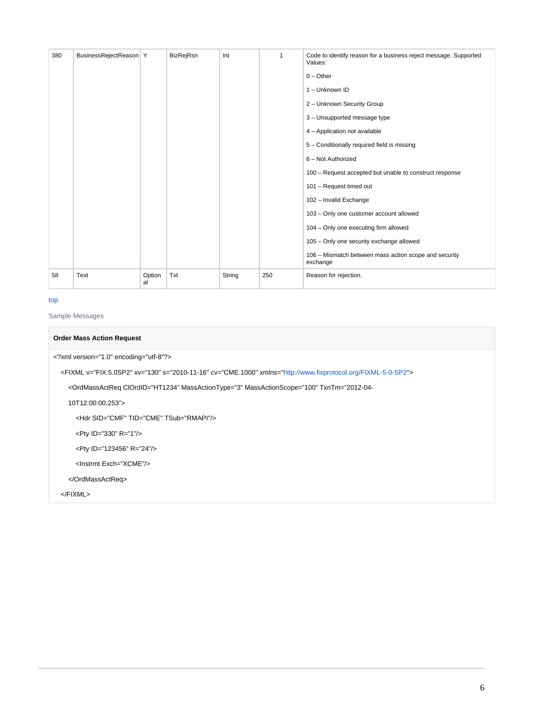| 380 | BusinessRejectReason Y |              | <b>BizRejRsn</b> | Int    |     | Code to identify reason for a business reject message. Supported<br>Values: |
|-----|------------------------|--------------|------------------|--------|-----|-----------------------------------------------------------------------------|
|     |                        |              |                  |        |     | $0 - Other$                                                                 |
|     |                        |              |                  |        |     | 1 - Unknown ID                                                              |
|     |                        |              |                  |        |     | 2 - Unknown Security Group                                                  |
|     |                        |              |                  |        |     | 3 - Unsupported message type                                                |
|     |                        |              |                  |        |     | 4 - Application not available                                               |
|     |                        |              |                  |        |     | 5 - Conditionally required field is missing                                 |
|     |                        |              |                  |        |     | 6 - Not Authorized                                                          |
|     |                        |              |                  |        |     | 100 - Request accepted but unable to construct response                     |
|     |                        |              |                  |        |     | 101 - Request timed out                                                     |
|     |                        |              |                  |        |     | 102 - Invalid Exchange                                                      |
|     |                        |              |                  |        |     | 103 - Only one customer account allowed                                     |
|     |                        |              |                  |        |     | 104 - Only one executing firm allowed                                       |
|     |                        |              |                  |        |     | 105 - Only one security exchange allowed                                    |
|     |                        |              |                  |        |     | 106 - Mismatch between mass action scope and security<br>exchange           |
| 58  | Text                   | Option<br>al | Txt              | String | 250 | Reason for rejection.                                                       |

# [top](#page-0-3)

<span id="page-5-0"></span>Sample Messages

# **Order Mass Action Request**

<?xml version="1.0" encoding="utf-8"?>

<FIXML v="FIX.5.0SP2" xv="130" s="2010-11-16" cv="CME.1000" xmlns="<http://www.fixprotocol.org/FIXML-5-0-SP2>">

<OrdMassActReq ClOrdID="HT1234" MassActionType="3" MassActionScope="100" TxnTm="2012-04-

10T12:00:00.253">

<Hdr SID="CMF" TID="CME" TSub="RMAPI"/>

<Pty ID="330" R="1"/>

<Pty ID="123456" R="24"/>

<Instrmt Exch="XCME"/>

</OrdMassActReq>

</FIXML>